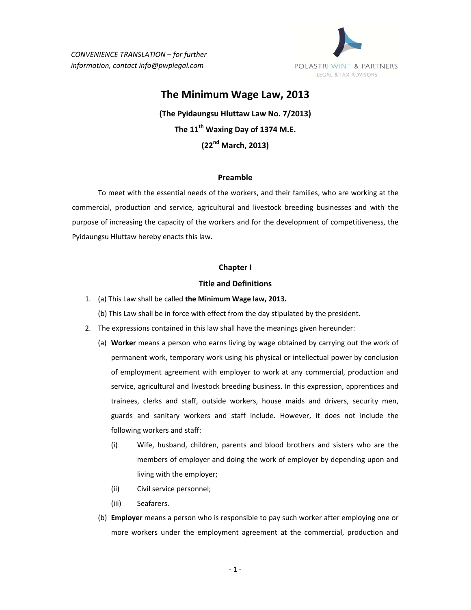*CONVENIENCE TRANSLATION – for further information, contact info@pwplegal.com*



# **The Minimum Wage Law, 2013**

**(The Pyidaungsu Hluttaw Law No. 7/2013) The 11th Waxing Day of 1374 M.E. (22nd March, 2013)**

## **Preamble**

To meet with the essential needs of the workers, and their families, who are working at the commercial, production and service, agricultural and livestock breeding businesses and with the purpose of increasing the capacity of the workers and for the development of competitiveness, the Pyidaungsu Hluttaw hereby enacts this law.

#### **Chapter I**

## **Title and Definitions**

- 1. (a) This Law shall be called **the Minimum Wage law, 2013.**
	- (b) This Law shall be in force with effect from the day stipulated by the president.
- 2. The expressions contained in this law shall have the meanings given hereunder:
	- (a) **Worker** means a person who earns living by wage obtained by carrying out the work of permanent work, temporary work using his physical or intellectual power by conclusion of employment agreement with employer to work at any commercial, production and service, agricultural and livestock breeding business. In this expression, apprentices and trainees, clerks and staff, outside workers, house maids and drivers, security men, guards and sanitary workers and staff include. However, it does not include the following workers and staff:
		- (i) Wife, husband, children, parents and blood brothers and sisters who are the members of employer and doing the work of employer by depending upon and living with the employer;
		- (ii) Civil service personnel;
		- (iii) Seafarers.
	- (b) **Employer** means a person who is responsible to pay such worker after employing one or more workers under the employment agreement at the commercial, production and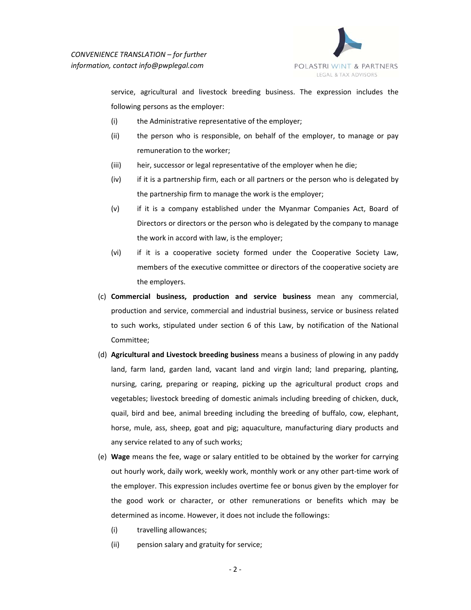

service, agricultural and livestock breeding business. The expression includes the following persons as the employer:

- (i) the Administrative representative of the employer;
- (ii) the person who is responsible, on behalf of the employer, to manage or pay remuneration to the worker;
- (iii) heir, successor or legal representative of the employer when he die;
- (iv) if it is a partnership firm, each or all partners or the person who is delegated by the partnership firm to manage the work is the employer;
- (v) if it is a company established under the Myanmar Companies Act, Board of Directors or directors or the person who is delegated by the company to manage the work in accord with law, is the employer;
- (vi) if it is a cooperative society formed under the Cooperative Society Law, members of the executive committee or directors of the cooperative society are the employers.
- (c) **Commercial business, production and service business** mean any commercial, production and service, commercial and industrial business, service or business related to such works, stipulated under section 6 of this Law, by notification of the National Committee;
- (d) **Agricultural and Livestock breeding business** means a business of plowing in any paddy land, farm land, garden land, vacant land and virgin land; land preparing, planting, nursing, caring, preparing or reaping, picking up the agricultural product crops and vegetables; livestock breeding of domestic animals including breeding of chicken, duck, quail, bird and bee, animal breeding including the breeding of buffalo, cow, elephant, horse, mule, ass, sheep, goat and pig; aquaculture, manufacturing diary products and any service related to any of such works;
- (e) **Wage** means the fee, wage or salary entitled to be obtained by the worker for carrying out hourly work, daily work, weekly work, monthly work or any other part‐time work of the employer. This expression includes overtime fee or bonus given by the employer for the good work or character, or other remunerations or benefits which may be determined as income. However, it does not include the followings:
	- (i) travelling allowances;
	- (ii) pension salary and gratuity for service;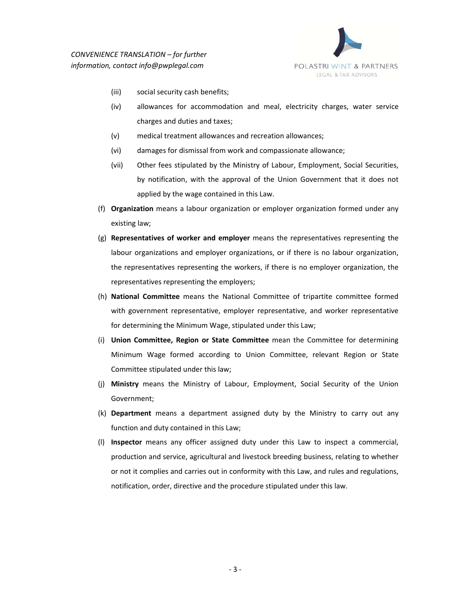

- (iii) social security cash benefits;
- (iv) allowances for accommodation and meal, electricity charges, water service charges and duties and taxes;
- (v) medical treatment allowances and recreation allowances;
- (vi) damages for dismissal from work and compassionate allowance;
- (vii) Other fees stipulated by the Ministry of Labour, Employment, Social Securities, by notification, with the approval of the Union Government that it does not applied by the wage contained in this Law.
- (f) **Organization** means a labour organization or employer organization formed under any existing law;
- (g) **Representatives of worker and employer** means the representatives representing the labour organizations and employer organizations, or if there is no labour organization, the representatives representing the workers, if there is no employer organization, the representatives representing the employers;
- (h) **National Committee** means the National Committee of tripartite committee formed with government representative, employer representative, and worker representative for determining the Minimum Wage, stipulated under this Law;
- (i) **Union Committee, Region or State Committee** mean the Committee for determining Minimum Wage formed according to Union Committee, relevant Region or State Committee stipulated under this law;
- (j) **Ministry** means the Ministry of Labour, Employment, Social Security of the Union Government;
- (k) **Department** means a department assigned duty by the Ministry to carry out any function and duty contained in this Law;
- (l) **Inspector** means any officer assigned duty under this Law to inspect a commercial, production and service, agricultural and livestock breeding business, relating to whether or not it complies and carries out in conformity with this Law, and rules and regulations, notification, order, directive and the procedure stipulated under this law.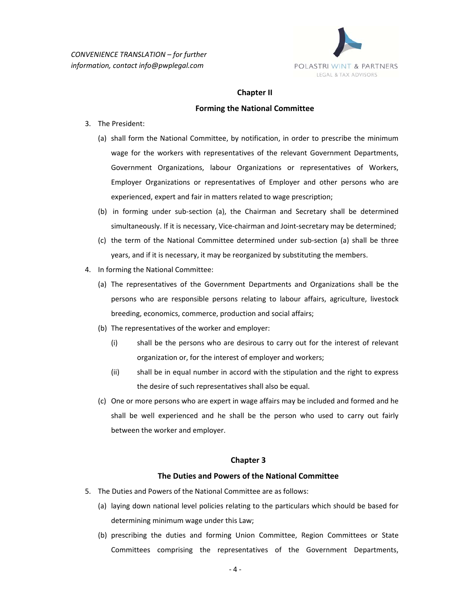

#### **Chapter II**

#### **Forming the National Committee**

- 3. The President:
	- (a) shall form the National Committee, by notification, in order to prescribe the minimum wage for the workers with representatives of the relevant Government Departments, Government Organizations, labour Organizations or representatives of Workers, Employer Organizations or representatives of Employer and other persons who are experienced, expert and fair in matters related to wage prescription;
	- (b) in forming under sub‐section (a), the Chairman and Secretary shall be determined simultaneously. If it is necessary, Vice-chairman and Joint-secretary may be determined;
	- (c) the term of the National Committee determined under sub‐section (a) shall be three years, and if it is necessary, it may be reorganized by substituting the members.
- 4. In forming the National Committee:
	- (a) The representatives of the Government Departments and Organizations shall be the persons who are responsible persons relating to labour affairs, agriculture, livestock breeding, economics, commerce, production and social affairs;
	- (b) The representatives of the worker and employer:
		- (i) shall be the persons who are desirous to carry out for the interest of relevant organization or, for the interest of employer and workers;
		- (ii) shall be in equal number in accord with the stipulation and the right to express the desire of such representatives shall also be equal.
	- (c) One or more persons who are expert in wage affairs may be included and formed and he shall be well experienced and he shall be the person who used to carry out fairly between the worker and employer.

#### **Chapter 3**

#### **The Duties and Powers of the National Committee**

- 5. The Duties and Powers of the National Committee are as follows:
	- (a) laying down national level policies relating to the particulars which should be based for determining minimum wage under this Law;
	- (b) prescribing the duties and forming Union Committee, Region Committees or State Committees comprising the representatives of the Government Departments,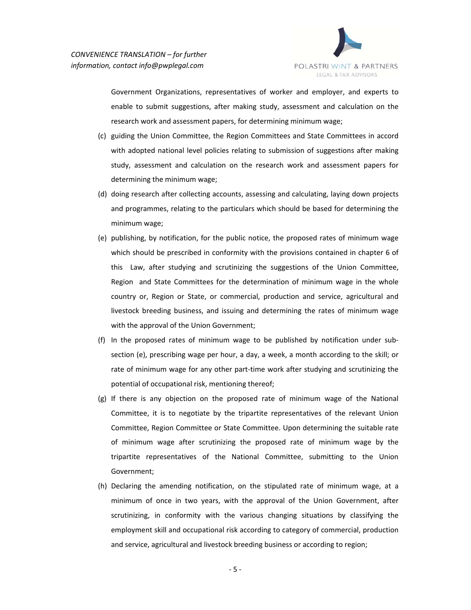

Government Organizations, representatives of worker and employer, and experts to enable to submit suggestions, after making study, assessment and calculation on the research work and assessment papers, for determining minimum wage;

- (c) guiding the Union Committee, the Region Committees and State Committees in accord with adopted national level policies relating to submission of suggestions after making study, assessment and calculation on the research work and assessment papers for determining the minimum wage;
- (d) doing research after collecting accounts, assessing and calculating, laying down projects and programmes, relating to the particulars which should be based for determining the minimum wage;
- (e) publishing, by notification, for the public notice, the proposed rates of minimum wage which should be prescribed in conformity with the provisions contained in chapter 6 of this Law, after studying and scrutinizing the suggestions of the Union Committee, Region and State Committees for the determination of minimum wage in the whole country or, Region or State, or commercial, production and service, agricultural and livestock breeding business, and issuing and determining the rates of minimum wage with the approval of the Union Government;
- (f) In the proposed rates of minimum wage to be published by notification under sub‐ section (e), prescribing wage per hour, a day, a week, a month according to the skill; or rate of minimum wage for any other part-time work after studying and scrutinizing the potential of occupational risk, mentioning thereof;
- (g) If there is any objection on the proposed rate of minimum wage of the National Committee, it is to negotiate by the tripartite representatives of the relevant Union Committee, Region Committee or State Committee. Upon determining the suitable rate of minimum wage after scrutinizing the proposed rate of minimum wage by the tripartite representatives of the National Committee, submitting to the Union Government;
- (h) Declaring the amending notification, on the stipulated rate of minimum wage, at a minimum of once in two years, with the approval of the Union Government, after scrutinizing, in conformity with the various changing situations by classifying the employment skill and occupational risk according to category of commercial, production and service, agricultural and livestock breeding business or according to region;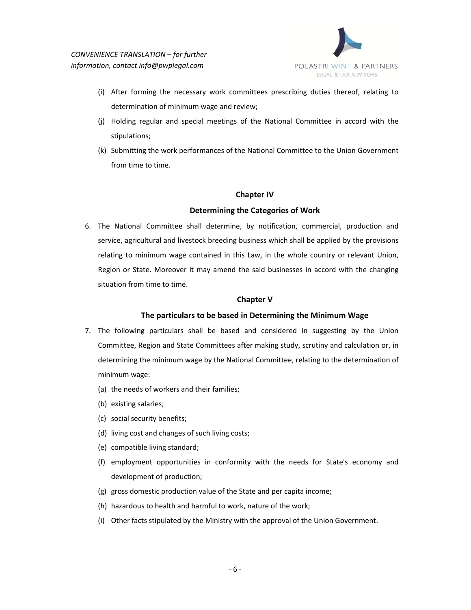

- (i) After forming the necessary work committees prescribing duties thereof, relating to determination of minimum wage and review;
- (j) Holding regular and special meetings of the National Committee in accord with the stipulations;
- (k) Submitting the work performances of the National Committee to the Union Government from time to time.

# **Chapter IV**

# **Determining the Categories of Work**

6. The National Committee shall determine, by notification, commercial, production and service, agricultural and livestock breeding business which shall be applied by the provisions relating to minimum wage contained in this Law, in the whole country or relevant Union, Region or State. Moreover it may amend the said businesses in accord with the changing situation from time to time.

## **Chapter V**

## **The particulars to be based in Determining the Minimum Wage**

- 7. The following particulars shall be based and considered in suggesting by the Union Committee, Region and State Committees after making study, scrutiny and calculation or, in determining the minimum wage by the National Committee, relating to the determination of minimum wage:
	- (a) the needs of workers and their families;
	- (b) existing salaries;
	- (c) social security benefits;
	- (d) living cost and changes of such living costs;
	- (e) compatible living standard;
	- (f) employment opportunities in conformity with the needs for State's economy and development of production;
	- (g) gross domestic production value of the State and per capita income;
	- (h) hazardous to health and harmful to work, nature of the work;
	- (i) Other facts stipulated by the Ministry with the approval of the Union Government.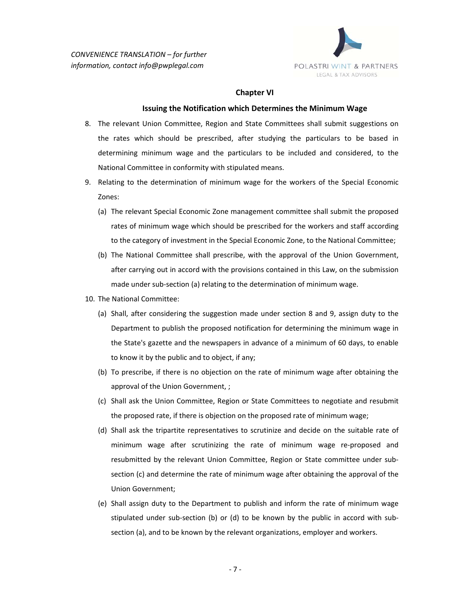

#### **Chapter VI**

#### **Issuing the Notification which Determines the Minimum Wage**

- 8. The relevant Union Committee, Region and State Committees shall submit suggestions on the rates which should be prescribed, after studying the particulars to be based in determining minimum wage and the particulars to be included and considered, to the National Committee in conformity with stipulated means.
- 9. Relating to the determination of minimum wage for the workers of the Special Economic Zones:
	- (a) The relevant Special Economic Zone management committee shall submit the proposed rates of minimum wage which should be prescribed for the workers and staff according to the category of investment in the Special Economic Zone, to the National Committee;
	- (b) The National Committee shall prescribe, with the approval of the Union Government, after carrying out in accord with the provisions contained in this Law, on the submission made under sub‐section (a) relating to the determination of minimum wage.
- 10. The National Committee:
	- (a) Shall, after considering the suggestion made under section 8 and 9, assign duty to the Department to publish the proposed notification for determining the minimum wage in the State's gazette and the newspapers in advance of a minimum of 60 days, to enable to know it by the public and to object, if any;
	- (b) To prescribe, if there is no objection on the rate of minimum wage after obtaining the approval of the Union Government, ;
	- (c) Shall ask the Union Committee, Region or State Committees to negotiate and resubmit the proposed rate, if there is objection on the proposed rate of minimum wage;
	- (d) Shall ask the tripartite representatives to scrutinize and decide on the suitable rate of minimum wage after scrutinizing the rate of minimum wage re‐proposed and resubmitted by the relevant Union Committee, Region or State committee under sub‐ section (c) and determine the rate of minimum wage after obtaining the approval of the Union Government;
	- (e) Shall assign duty to the Department to publish and inform the rate of minimum wage stipulated under sub-section (b) or (d) to be known by the public in accord with subsection (a), and to be known by the relevant organizations, employer and workers.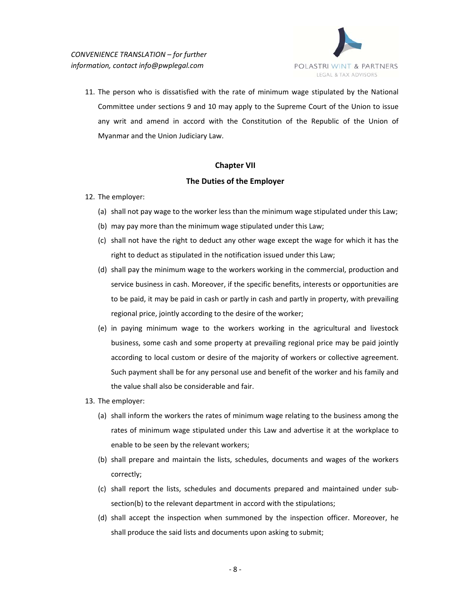

11. The person who is dissatisfied with the rate of minimum wage stipulated by the National Committee under sections 9 and 10 may apply to the Supreme Court of the Union to issue any writ and amend in accord with the Constitution of the Republic of the Union of Myanmar and the Union Judiciary Law.

# **Chapter VII**

# **The Duties of the Employer**

- 12. The employer:
	- (a) shall not pay wage to the worker less than the minimum wage stipulated under this Law;
	- (b) may pay more than the minimum wage stipulated under this Law;
	- (c) shall not have the right to deduct any other wage except the wage for which it has the right to deduct as stipulated in the notification issued under this Law;
	- (d) shall pay the minimum wage to the workers working in the commercial, production and service business in cash. Moreover, if the specific benefits, interests or opportunities are to be paid, it may be paid in cash or partly in cash and partly in property, with prevailing regional price, jointly according to the desire of the worker;
	- (e) in paying minimum wage to the workers working in the agricultural and livestock business, some cash and some property at prevailing regional price may be paid jointly according to local custom or desire of the majority of workers or collective agreement. Such payment shall be for any personal use and benefit of the worker and his family and the value shall also be considerable and fair.
- 13. The employer:
	- (a) shall inform the workers the rates of minimum wage relating to the business among the rates of minimum wage stipulated under this Law and advertise it at the workplace to enable to be seen by the relevant workers;
	- (b) shall prepare and maintain the lists, schedules, documents and wages of the workers correctly;
	- (c) shall report the lists, schedules and documents prepared and maintained under sub‐ section(b) to the relevant department in accord with the stipulations;
	- (d) shall accept the inspection when summoned by the inspection officer. Moreover, he shall produce the said lists and documents upon asking to submit;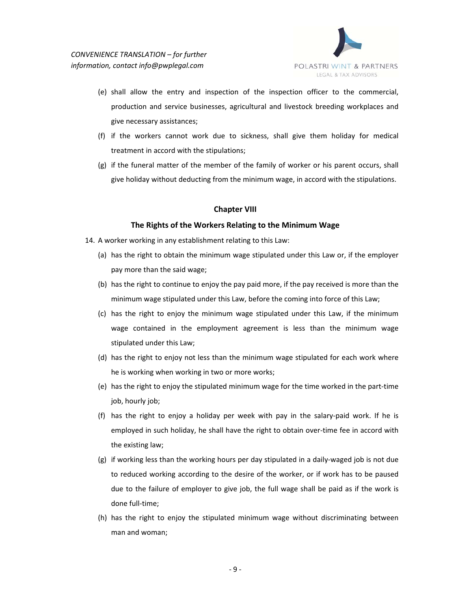

- (e) shall allow the entry and inspection of the inspection officer to the commercial, production and service businesses, agricultural and livestock breeding workplaces and give necessary assistances;
- (f) if the workers cannot work due to sickness, shall give them holiday for medical treatment in accord with the stipulations;
- (g) if the funeral matter of the member of the family of worker or his parent occurs, shall give holiday without deducting from the minimum wage, in accord with the stipulations.

# **Chapter VIII**

## **The Rights of the Workers Relating to the Minimum Wage**

- 14. A worker working in any establishment relating to this Law:
	- (a) has the right to obtain the minimum wage stipulated under this Law or, if the employer pay more than the said wage;
	- (b) has the right to continue to enjoy the pay paid more, if the pay received is more than the minimum wage stipulated under this Law, before the coming into force of this Law;
	- (c) has the right to enjoy the minimum wage stipulated under this Law, if the minimum wage contained in the employment agreement is less than the minimum wage stipulated under this Law;
	- (d) has the right to enjoy not less than the minimum wage stipulated for each work where he is working when working in two or more works;
	- (e) has the right to enjoy the stipulated minimum wage for the time worked in the part‐time job, hourly job;
	- (f) has the right to enjoy a holiday per week with pay in the salary‐paid work. If he is employed in such holiday, he shall have the right to obtain over-time fee in accord with the existing law;
	- (g) if working less than the working hours per day stipulated in a daily‐waged job is not due to reduced working according to the desire of the worker, or if work has to be paused due to the failure of employer to give job, the full wage shall be paid as if the work is done full-time;
	- (h) has the right to enjoy the stipulated minimum wage without discriminating between man and woman;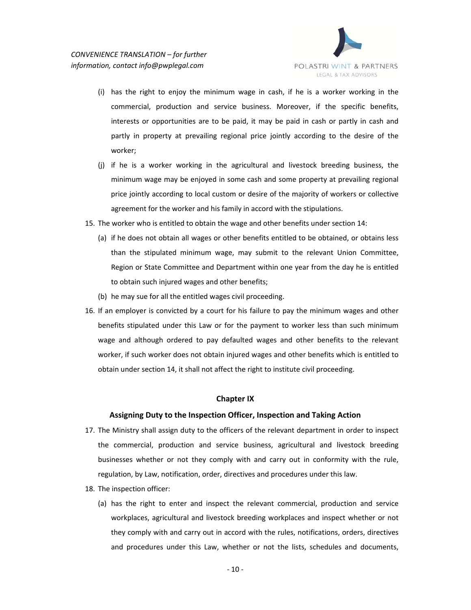

- (i) has the right to enjoy the minimum wage in cash, if he is a worker working in the commercial, production and service business. Moreover, if the specific benefits, interests or opportunities are to be paid, it may be paid in cash or partly in cash and partly in property at prevailing regional price jointly according to the desire of the worker;
- (j) if he is a worker working in the agricultural and livestock breeding business, the minimum wage may be enjoyed in some cash and some property at prevailing regional price jointly according to local custom or desire of the majority of workers or collective agreement for the worker and his family in accord with the stipulations.
- 15. The worker who is entitled to obtain the wage and other benefits under section 14:
	- (a) if he does not obtain all wages or other benefits entitled to be obtained, or obtains less than the stipulated minimum wage, may submit to the relevant Union Committee, Region or State Committee and Department within one year from the day he is entitled to obtain such injured wages and other benefits;
	- (b) he may sue for all the entitled wages civil proceeding.
- 16. If an employer is convicted by a court for his failure to pay the minimum wages and other benefits stipulated under this Law or for the payment to worker less than such minimum wage and although ordered to pay defaulted wages and other benefits to the relevant worker, if such worker does not obtain injured wages and other benefits which is entitled to obtain under section 14, it shall not affect the right to institute civil proceeding.

## **Chapter IX**

## **Assigning Duty to the Inspection Officer, Inspection and Taking Action**

- 17. The Ministry shall assign duty to the officers of the relevant department in order to inspect the commercial, production and service business, agricultural and livestock breeding businesses whether or not they comply with and carry out in conformity with the rule, regulation, by Law, notification, order, directives and procedures under this law.
- 18. The inspection officer:
	- (a) has the right to enter and inspect the relevant commercial, production and service workplaces, agricultural and livestock breeding workplaces and inspect whether or not they comply with and carry out in accord with the rules, notifications, orders, directives and procedures under this Law, whether or not the lists, schedules and documents,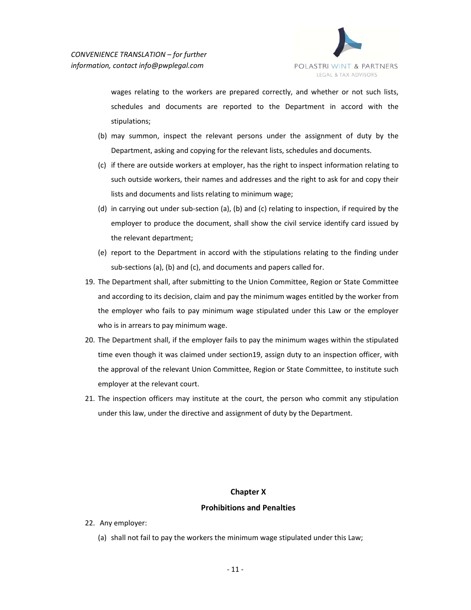

wages relating to the workers are prepared correctly, and whether or not such lists, schedules and documents are reported to the Department in accord with the stipulations;

- (b) may summon, inspect the relevant persons under the assignment of duty by the Department, asking and copying for the relevant lists, schedules and documents.
- (c) if there are outside workers at employer, has the right to inspect information relating to such outside workers, their names and addresses and the right to ask for and copy their lists and documents and lists relating to minimum wage;
- (d) in carrying out under sub‐section (a), (b) and (c) relating to inspection, if required by the employer to produce the document, shall show the civil service identify card issued by the relevant department;
- (e) report to the Department in accord with the stipulations relating to the finding under sub-sections (a), (b) and (c), and documents and papers called for.
- 19. The Department shall, after submitting to the Union Committee, Region or State Committee and according to its decision, claim and pay the minimum wages entitled by the worker from the employer who fails to pay minimum wage stipulated under this Law or the employer who is in arrears to pay minimum wage.
- 20. The Department shall, if the employer fails to pay the minimum wages within the stipulated time even though it was claimed under section19, assign duty to an inspection officer, with the approval of the relevant Union Committee, Region or State Committee, to institute such employer at the relevant court.
- 21. The inspection officers may institute at the court, the person who commit any stipulation under this law, under the directive and assignment of duty by the Department.

# **Chapter X**

## **Prohibitions and Penalties**

- 22. Any employer:
	- (a) shall not fail to pay the workers the minimum wage stipulated under this Law;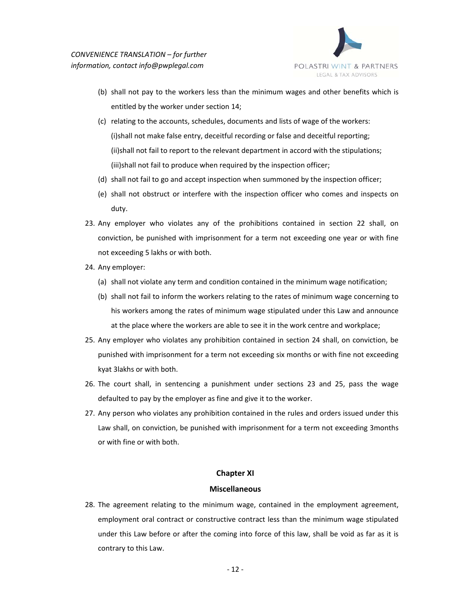

- (b) shall not pay to the workers less than the minimum wages and other benefits which is entitled by the worker under section 14;
- (c) relating to the accounts, schedules, documents and lists of wage of the workers: (i)shall not make false entry, deceitful recording or false and deceitful reporting; (ii)shall not fail to report to the relevant department in accord with the stipulations; (iii)shall not fail to produce when required by the inspection officer;
- (d) shall not fail to go and accept inspection when summoned by the inspection officer;
- (e) shall not obstruct or interfere with the inspection officer who comes and inspects on duty.
- 23. Any employer who violates any of the prohibitions contained in section 22 shall, on conviction, be punished with imprisonment for a term not exceeding one year or with fine not exceeding 5 lakhs or with both.
- 24. Any employer:
	- (a) shall not violate any term and condition contained in the minimum wage notification;
	- (b) shall not fail to inform the workers relating to the rates of minimum wage concerning to his workers among the rates of minimum wage stipulated under this Law and announce at the place where the workers are able to see it in the work centre and workplace;
- 25. Any employer who violates any prohibition contained in section 24 shall, on conviction, be punished with imprisonment for a term not exceeding six months or with fine not exceeding kyat 3lakhs or with both.
- 26. The court shall, in sentencing a punishment under sections 23 and 25, pass the wage defaulted to pay by the employer as fine and give it to the worker.
- 27. Any person who violates any prohibition contained in the rules and orders issued under this Law shall, on conviction, be punished with imprisonment for a term not exceeding 3months or with fine or with both.

## **Chapter XI**

## **Miscellaneous**

28. The agreement relating to the minimum wage, contained in the employment agreement, employment oral contract or constructive contract less than the minimum wage stipulated under this Law before or after the coming into force of this law, shall be void as far as it is contrary to this Law.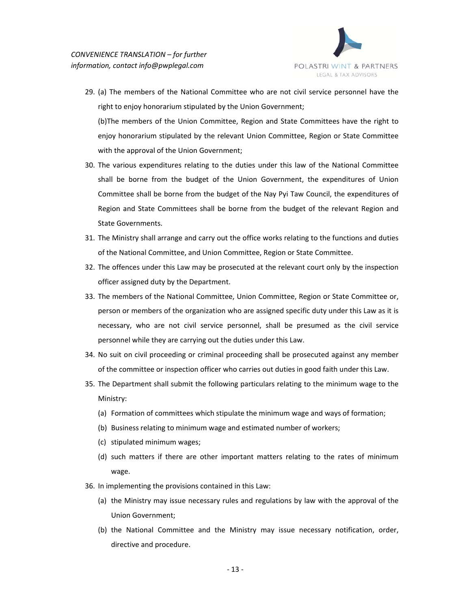

- 29. (a) The members of the National Committee who are not civil service personnel have the right to enjoy honorarium stipulated by the Union Government; (b)The members of the Union Committee, Region and State Committees have the right to enjoy honorarium stipulated by the relevant Union Committee, Region or State Committee with the approval of the Union Government;
- 30. The various expenditures relating to the duties under this law of the National Committee shall be borne from the budget of the Union Government, the expenditures of Union Committee shall be borne from the budget of the Nay Pyi Taw Council, the expenditures of Region and State Committees shall be borne from the budget of the relevant Region and State Governments.
- 31. The Ministry shall arrange and carry out the office works relating to the functions and duties of the National Committee, and Union Committee, Region or State Committee.
- 32. The offences under this Law may be prosecuted at the relevant court only by the inspection officer assigned duty by the Department.
- 33. The members of the National Committee, Union Committee, Region or State Committee or, person or members of the organization who are assigned specific duty under this Law as it is necessary, who are not civil service personnel, shall be presumed as the civil service personnel while they are carrying out the duties under this Law.
- 34. No suit on civil proceeding or criminal proceeding shall be prosecuted against any member of the committee or inspection officer who carries out duties in good faith under this Law.
- 35. The Department shall submit the following particulars relating to the minimum wage to the Ministry:
	- (a) Formation of committees which stipulate the minimum wage and ways of formation;
	- (b) Business relating to minimum wage and estimated number of workers;
	- (c) stipulated minimum wages;
	- (d) such matters if there are other important matters relating to the rates of minimum wage.
- 36. In implementing the provisions contained in this Law:
	- (a) the Ministry may issue necessary rules and regulations by law with the approval of the Union Government;
	- (b) the National Committee and the Ministry may issue necessary notification, order, directive and procedure.